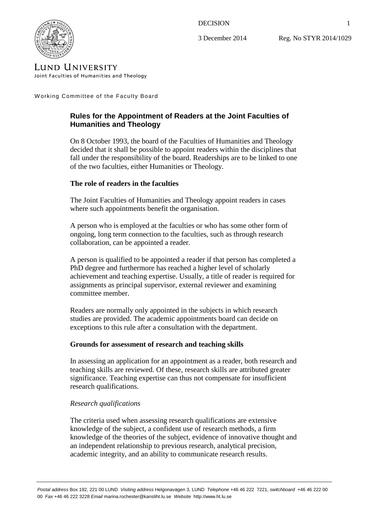### **DECISION**

3 December 2014

Reg. No STYR 2014/1029



**LUND UNIVERSITY** Joint Faculties of Humanities and Theology

W orking Committee of the Faculty Board

# **Rules for the Appointment of Readers at the Joint Faculties of Humanities and Theology**

On 8 October 1993, the board of the Faculties of Humanities and Theology decided that it shall be possible to appoint readers within the disciplines that fall under the responsibility of the board. Readerships are to be linked to one of the two faculties, either Humanities or Theology.

## **The role of readers in the faculties**

The Joint Faculties of Humanities and Theology appoint readers in cases where such appointments benefit the organisation.

A person who is employed at the faculties or who has some other form of ongoing, long term connection to the faculties, such as through research collaboration, can be appointed a reader.

A person is qualified to be appointed a reader if that person has completed a PhD degree and furthermore has reached a higher level of scholarly achievement and teaching expertise. Usually, a title of reader is required for assignments as principal supervisor, external reviewer and examining committee member.

Readers are normally only appointed in the subjects in which research studies are provided. The academic appointments board can decide on exceptions to this rule after a consultation with the department.

## **Grounds for assessment of research and teaching skills**

In assessing an application for an appointment as a reader, both research and teaching skills are reviewed. Of these, research skills are attributed greater significance. Teaching expertise can thus not compensate for insufficient research qualifications.

### *Research qualifications*

The criteria used when assessing research qualifications are extensive knowledge of the subject, a confident use of research methods, a firm knowledge of the theories of the subject, evidence of innovative thought and an independent relationship to previous research, analytical precision, academic integrity, and an ability to communicate research results.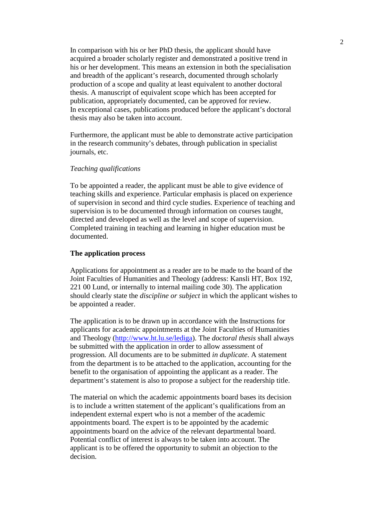In comparison with his or her PhD thesis, the applicant should have acquired a broader scholarly register and demonstrated a positive trend in his or her development. This means an extension in both the specialisation and breadth of the applicant's research, documented through scholarly production of a scope and quality at least equivalent to another doctoral thesis. A manuscript of equivalent scope which has been accepted for publication, appropriately documented, can be approved for review. In exceptional cases, publications produced before the applicant's doctoral thesis may also be taken into account.

Furthermore, the applicant must be able to demonstrate active participation in the research community's debates, through publication in specialist journals, etc.

#### *Teaching qualifications*

To be appointed a reader, the applicant must be able to give evidence of teaching skills and experience. Particular emphasis is placed on experience of supervision in second and third cycle studies. Experience of teaching and supervision is to be documented through information on courses taught, directed and developed as well as the level and scope of supervision. Completed training in teaching and learning in higher education must be documented.

#### **The application process**

Applications for appointment as a reader are to be made to the board of the Joint Faculties of Humanities and Theology (address: Kansli HT, Box 192, 221 00 Lund, or internally to internal mailing code 30). The application should clearly state the *discipline or subject* in which the applicant wishes to be appointed a reader.

The application is to be drawn up in accordance with the Instructions for applicants for academic appointments at the Joint Faculties of Humanities and Theology (http://www.ht.lu.se/lediga). The *doctoral thesis* shall always be submitted with the application in order to allow assessment of progression*.* All documents are to be submitted *in duplicate*. A statement from the department is to be attached to the application, accounting for the benefit to the organisation of appointing the applicant as a reader. The department's statement is also to propose a subject for the readership title.

The material on which the academic appointments board bases its decision is to include a written statement of the applicant's qualifications from an independent external expert who is not a member of the academic appointments board. The expert is to be appointed by the academic appointments board on the advice of the relevant departmental board. Potential conflict of interest is always to be taken into account. The applicant is to be offered the opportunity to submit an objection to the decision.